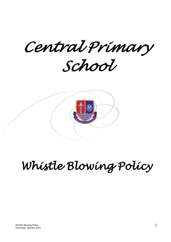*Central Primary* 

*School* 



# *Whistle Blowing Policy*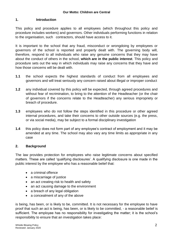#### **1. Introduction**

This policy and procedure applies to all employees (which throughout this policy and procedure includes workers) and governors. Other individuals performing functions in relation to the organisation, such contractors, should have access to it.

It is important to the school that any fraud, misconduct or wrongdoing by employees or governors of the school is reported and properly dealt with. The governing body will, therefore, respond to all individuals who raise any genuine concerns that they may have about the conduct of others in the school, **which are in the public interest**. This policy and procedure sets out the way in which individuals may raise any concerns that they have and how those concerns will be dealt with.

- **1.1** the school expects the highest standards of conduct from all employees and governors and will treat seriously any concern raised about illegal or improper conduct
- **1.2** any individual covered by this policy will be expected, through agreed procedures and without fear of recrimination, to bring to the attention of the Headteacher (or the chair of governors if the concerns relate to the Headteacher) any serious impropriety or breach of procedure.
- **1.3** employees who do not follow the steps identified in this procedure or other agreed internal procedures, and take their concerns to other outside sources (e.g. the press, or via social media), may be subject to a formal disciplinary investigation
- **1.4** this policy does not form part of any employee's contract of employment and it may be amended at any time. The school may also vary any time limits as appropriate in any case

#### **2. Background**

The law provides protection for employees who raise legitimate concerns about specified matters. These are called 'qualifying disclosures'. A qualifying disclosure is one made in the public interest by the employee who has a reasonable belief that:

- a criminal offence
- a miscarriage of justice
- an act creating risk to health and safety
- an act causing damage to the environment
- a breach of any legal obligation
- a concealment of any of the above

is being, has been, or is likely to be, committed. It is not necessary for the employee to have proof that such an act is being, has been, or is likely to be committed, - a reasonable belief is sufficient. The employee has no responsibility for investigating the matter; it is the school's responsibility to ensure that an investigation takes place: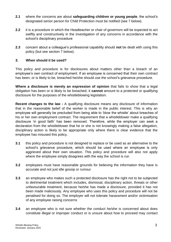- **2.1** where the concerns are about **safeguarding children or young people**, the school's designated senior person for Child Protection must be notified (see 7 below).
- **2.2** it is a procedure in which the Headteacher or chair of governors will be expected to act swiftly and constructively in the investigation of any concerns in accordance with the school's disciplinary procedure
- **2.3** concern about a colleague's professional capability should **not** be dealt with using this policy (but see section 7 below).

#### **3. When should it be used?**

This policy and procedure is for disclosures about matters other than a breach of an employee's own contract of employment. If an employee is concerned that their own contract has been, or is likely to be, breached he/she should use the school's grievance procedure.

**Where a disclosure is merely an expression of opinion** that fails to show that a legal obligation has been or is likely to be breached, it **cannot** amount to a protected or qualifying disclosure for the purposes of the whistleblowing legislation.

**Recent changes to the law -** A qualifying disclosure means any disclosure of information that in the reasonable belief of the worker is made in the public interest. This is why an employee will generally be precluded from being able to 'blow the whistle' about breaches of his or her own employment contract. The requirement that a whistleblower make a qualifying disclosure 'in good faith' has been removed. Therefore, while the employer can seek a declaration from the whistleblower that he or she is not knowingly making a false allegation, disciplinary action is likely to be appropriate only where there is clear evidence that the employee has misused this policy.

- **3.1** this policy and procedure is not designed to replace or be used as an alternative to the school's grievance procedure, which should be used where an employee is only aggrieved about their own situation. This policy and procedure will also not apply where the employee simply disagrees with the way the school is run
- **3.2** employees must have reasonable grounds for believing the information they have is accurate and not just idle gossip or rumour
- **3.3** an employee who makes such a protected disclosure has the right not to be subjected to detrimental treatment which includes, dismissal, disciplinary action, threats or other unfavourable treatment, because he/she has made a disclosure, provided it has not been made maliciously. Any employee who uses this policy and procedure will not be penalised for doing so. The employer will not tolerate harassment and/or victimisation of any employee raising concerns
- **3.4** an employee who is not sure whether the conduct he/she is concerned about does constitute illegal or improper conduct or is unsure about how to proceed may contact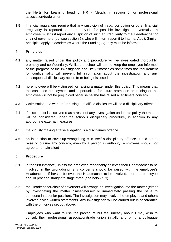the Herts for Learning head of HR - (details in section 8) or professional association/trade union

**3.5** financial regulations require that any suspicion of fraud, corruption or other financial irregularity is reported to Internal Audit for possible investigation. Normally an employee must first report any suspicion of such an irregularity to the Headteacher or chair of governors (but see section 5), who will in turn report it to Internal Audit. Similar principles apply to academies where the Funding Agency must be informed.

#### **4. Principles**

- **4.1** any matter raised under this policy and procedure will be investigated thoroughly, promptly and confidentially. Whilst the school will aim to keep the employee informed of the progress of the investigation and likely timescales sometimes the requirement for confidentiality will prevent full information about the investigation and any consequential disciplinary action from being disclosed
- **4.2** no employee will be victimised for raising a matter under this policy. This means that the continued employment and opportunities for future promotion or training of the employee will not be prejudiced because he/she has raised a legitimate concern
- **4.3** victimisation of a worker for raising a qualified disclosure will be a disciplinary offence
- **4.4** if misconduct is discovered as a result of any investigation under this policy the matter will be considered under the school's disciplinary procedure, in addition to any appropriate external measures
- **4.5** maliciously making a false allegation is a disciplinary offence
- **4.6** an instruction to cover up wrongdoing is in itself a disciplinary offence. If told not to raise or pursue any concern, even by a person in authority, employees should not agree to remain silent

#### **5. Procedure**

- **5.1** in the first instance, unless the employee reasonably believes their Headteacher to be involved in the wrongdoing, any concerns should be raised with the employee's Headteacher. If he/she believes the Headteacher to be involved, then the employee should proceed straight to stage three (see below 5.3)
- **5.2** the Headteacher/chair of governors will arrange an investigation into the matter (either by investigating the matter himself/herself or immediately passing the issue to someone in a senior position). The investigation may involve the employee and others involved giving written statements. Any investigation will be carried out in accordance with the principles set out above.

Employees who want to use the procedure but feel uneasy about it may wish to consult their professional association/trade union initially and bring a colleague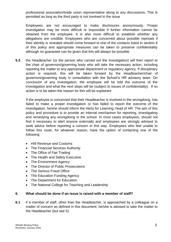professional association/trade union representative along to any discussions. This is permitted as long as the third party is not involved in the issue

Employees are not encouraged to make disclosures anonymously. Proper investigation may be more difficult or impossible if further information cannot be obtained from the employee. It is also more difficult to establish whether any allegations are credible. Employees who are concerned about possible reprisals if their identity is revealed should come forward to one of the contacts listed in section 8 of this policy and appropriate measures can be taken to preserve confidentiality although no guarantee can be given that this will always be possible

**5.3** the Headteacher (or the person who carried out the investigation) will then report to the chair of governors/governing body who will take the necessary action, including reporting the matter to any appropriate department or regulatory agency. If disciplinary action is required, this will be taken forward by the Headteacher/chair of governors/governing body in consultation with the School's HR advisory team. On conclusion of any investigation, the employee will be told the outcome of the investigation and what the next steps will be (subject to issues of confidentiality). If no action is to be taken the reason for this will be explained

If the employee is concerned that their Headteacher is involved in the wrongdoing, has failed to make a proper investigation or has failed to report the outcome of the investigation, he/she should inform the Herts for Learning, head of HR. The aim of this policy and procedure is to provide an internal mechanism for reporting, investigating and remedying any wrongdoing in the school. In most cases employees, should not find it necessary to alert anyone externally and employees are strongly advised to seek advice before reporting a concern in this way. Employees who feel unable to follow this route, for whatever reason, have the option of contacting one of the following:

- HM Revenue and Customs
- The Financial Services Authority
- The Office of Fair Trading
- The Health and Safety Executive
- The Environment Agency
- The Director of Public Prosecutions
- The Serious Fraud Office
- The Education Funding Agency
- The Department for Education
- The National College for Teaching and Leadership

#### **6. What should be done if an issue is raised with a member of staff?**

**6.1** if a member of staff, other than the Headteacher, is approached by a colleague on a matter of concern as defined in this document, he/she is advised to take the matter to the Headteacher (but see 5).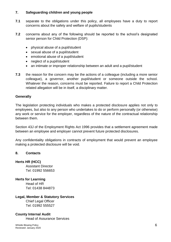#### **7. Safeguarding children and young people**

- **7.1** separate to the obligations under this policy, all employees have a duty to report concerns about the safety and welfare of pupils/students
- **7.2** concerns about any of the following should be reported to the school's designated senior person for Child Protection (DSP):
	- physical abuse of a pupil/student
	- sexual abuse of a pupil/student
	- emotional abuse of a pupil/student
	- neglect of a pupil/student
	- an intimate or improper relationship between an adult and a pupil/student
- **7.3** the reason for the concern may be the actions of a colleague (including a more senior colleague), a governor, another pupil/student or someone outside the school. Whatever the reason, concerns must be reported. Failure to report a Child Protection related allegation will be in itself, a disciplinary matter.

#### **Generally**

The legislation protecting individuals who makes a protected disclosure applies not only to employees, but also to any person who undertakes to do or perform personally (or otherwise) any work or service for the employer, regardless of the nature of the contractual relationship between them.

Section 43J of the Employment Rights Act 1996 provides that a settlement agreement made between an employee and employer cannot prevent future protected disclosures.

Any confidentiality obligations in contracts of employment that would prevent an employee making a protected disclosure will be void.

#### **8. Contacts**

**Herts HR (HCC)** Assistant Director Tel: 01992 556653

**Herts for Learning** 

Head of HR Tel: 01438 844873

## **Legal, Member & Statutory Services**

Chief Legal Officer Tel: 01992 555527

### **County Internal Audit**

Head of Assurance Services